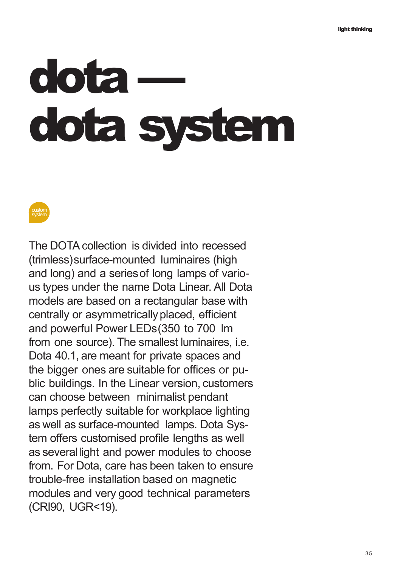# **dota dota system**



The DOTA collection is divided into recessed (trimless)surface-mounted luminaires (high and long) and a seriesof long lamps of various types under the name Dota Linear. All Dota models are based on a rectangular base with centrally or asymmetrically placed, efficient and powerful Power LEDs(350 to 700 lm from one source). The smallest luminaires, i.e. Dota 40.1, are meant for private spaces and the bigger ones are suitable for offices or public buildings. In the Linear version, customers can choose between minimalist pendant lamps perfectly suitable for workplace lighting as well as surface-mounted lamps. Dota System offers customised profile lengths as well as severallight and power modules to choose from. For Dota, care has been taken to ensure trouble-free installation based on magnetic modules and very good technical parameters (CRI90, UGR<19).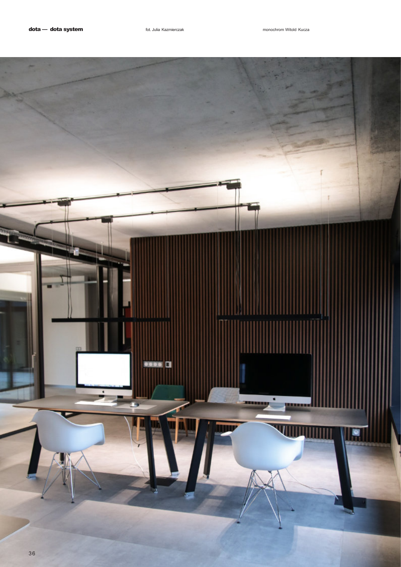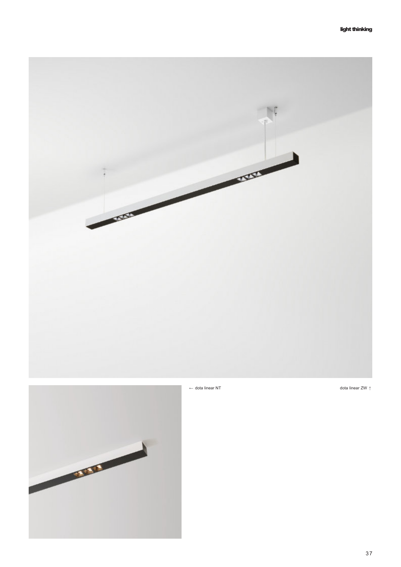

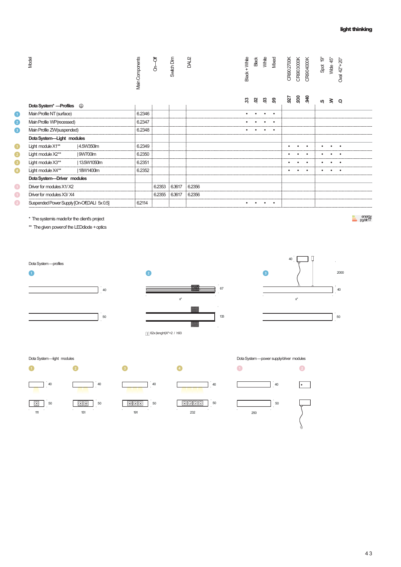|           | Model                                       |             | Main Components | đ<br>δ | Switch Dim | DALI2  | Black + White | Black | White     | Mixed     | CR80 2700K | CRi903000K | CRi904000K | Spot 19°  | Wide 45°  | Oval $42^{\circ}$ + $20^{\circ}$ |
|-----------|---------------------------------------------|-------------|-----------------|--------|------------|--------|---------------|-------|-----------|-----------|------------|------------|------------|-----------|-----------|----------------------------------|
|           |                                             |             |                 |        |            |        | ಜ             | ຊ     | ຌ         | ၜ         | 927        | 930        | 34.0       | w         | $\geq$    | $\circ$                          |
| $\bullet$ | Main Profile NT (surface)                   |             | 6.2346          |        |            |        |               |       |           | $\bullet$ |            |            |            |           |           |                                  |
| $\bullet$ | Main Profile WP(recessed)                   |             | 6.2347          |        |            |        |               |       |           | $\bullet$ |            |            |            |           |           |                                  |
| $\bullet$ | Main Profile ZW(suspended)                  |             | 6.2348          |        |            |        | $\bullet$     |       | $\bullet$ | $\bullet$ |            |            |            |           |           |                                  |
|           | Dota System-Light modules                   |             |                 |        |            |        |               |       |           |           |            |            |            |           |           |                                  |
| O         | Light module X1**                           | 4.5W350lm   | 6.2349          |        |            |        |               |       |           |           | ٠          |            | $\bullet$  | $\bullet$ |           | $\bullet$                        |
| 2         | Light module X2**                           | 9W700lm     | 6.2350          |        |            |        |               |       |           |           |            |            | $\bullet$  |           |           | $\bullet$                        |
| $\bullet$ | Light module X3**                           | 13.5W1050lm | 6.2351          |        |            |        |               |       |           |           | ٠          | $\bullet$  | $\bullet$  | $\bullet$ | $\bullet$ | $\bullet$                        |
| $\bullet$ | Light module X4**                           | 18W1400lm   | 6.2352          |        |            |        |               |       |           |           | $\bullet$  | $\bullet$  | $\bullet$  | $\bullet$ | $\bullet$ | $\bullet$                        |
|           | Dota System-Driver modules                  |             |                 |        |            |        |               |       |           |           |            |            |            |           |           |                                  |
| $\bullet$ | Driver for modules X1/X2                    |             |                 | 6.2353 | 6.3617     | 6.2356 |               |       |           |           |            |            |            |           |           |                                  |
| $\bullet$ | Driver for modules X3/X4                    |             |                 | 6.2355 | 6.3617     | 6.2356 |               |       |           |           |            |            |            |           |           |                                  |
| $\bullet$ | Suspended Power Supply [On-Off,DALI 5x 0.5] |             | 6.2114          |        |            |        | $\bullet$     |       | $\bullet$ | $\bullet$ |            |            |            |           |           |                                  |

\* Thesystemis madefor the client's project

\*\* Thegiven powerof the LEDdiode +optics

energy pg./str.17









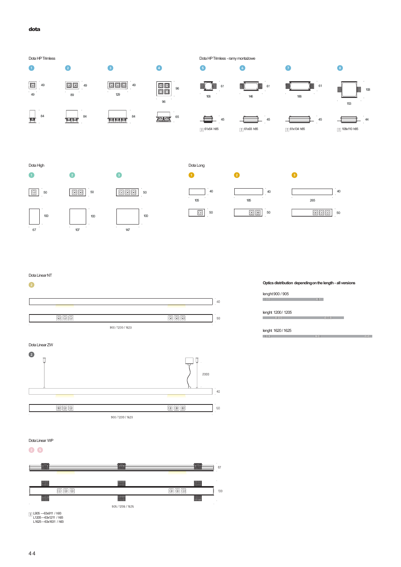### **dota**



## Dota Linear NT





# **Optics distribution dependingon thelength - all versions**

lenght900 / 905  $\overline{00}$ 

lenght 1200/ 1205

lenght 1620/ 1625

Dota Linear WP